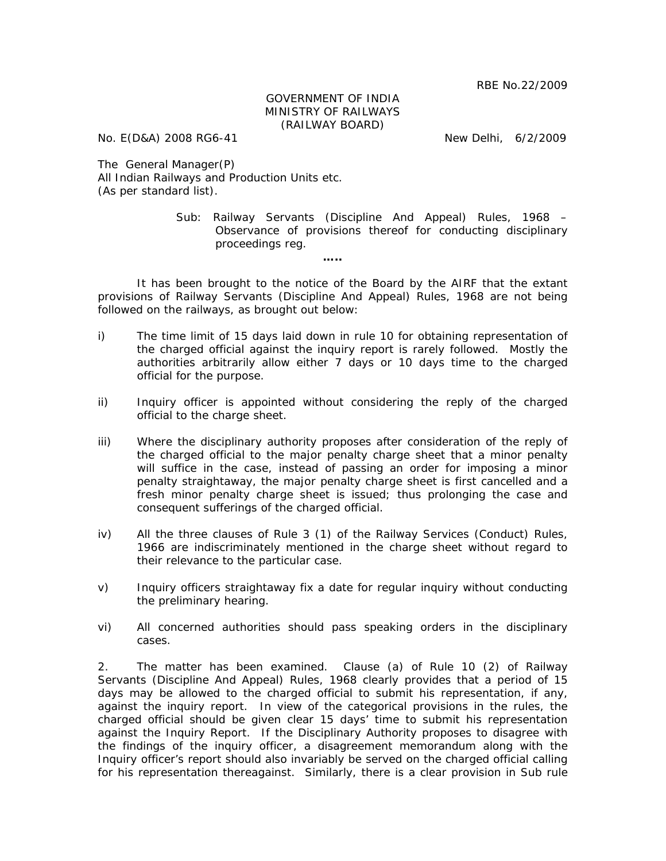## GOVERNMENT OF INDIA MINISTRY OF RAILWAYS (RAILWAY BOARD)

No. E(D&A) 2008 RG6-41 New Delhi, 6/2/2009

The General Manager(P) All Indian Railways and Production Units etc. (As per standard list).

> Sub: Railway Servants (Discipline And Appeal) Rules, 1968 – Observance of provisions thereof for conducting disciplinary proceedings reg.

It has been brought to the notice of the Board by the AIRF that the extant provisions of Railway Servants (Discipline And Appeal) Rules, 1968 are not being followed on the railways, as brought out below:

**…..** 

- i) The time limit of 15 days laid down in rule 10 for obtaining representation of the charged official against the inquiry report is rarely followed. Mostly the authorities arbitrarily allow either 7 days or 10 days time to the charged official for the purpose.
- ii) Inquiry officer is appointed without considering the reply of the charged official to the charge sheet.
- iii) Where the disciplinary authority proposes after consideration of the reply of the charged official to the major penalty charge sheet that a minor penalty will suffice in the case, instead of passing an order for imposing a minor penalty straightaway, the major penalty charge sheet is first cancelled and a fresh minor penalty charge sheet is issued; thus prolonging the case and consequent sufferings of the charged official.
- iv) All the three clauses of Rule 3 (1) of the Railway Services (Conduct) Rules, 1966 are indiscriminately mentioned in the charge sheet without regard to their relevance to the particular case.
- v) Inquiry officers straightaway fix a date for regular inquiry without conducting the preliminary hearing.
- vi) All concerned authorities should pass speaking orders in the disciplinary cases.

2. The matter has been examined. Clause (a) of Rule 10 (2) of Railway Servants (Discipline And Appeal) Rules, 1968 clearly provides that a period of 15 days may be allowed to the charged official to submit his representation, if any, against the inquiry report. In view of the categorical provisions in the rules, the charged official should be given clear 15 days' time to submit his representation against the Inquiry Report. If the Disciplinary Authority proposes to disagree with the findings of the inquiry officer, a disagreement memorandum along with the Inquiry officer's report should also invariably be served on the charged official calling for his representation thereagainst. Similarly, there is a clear provision in Sub rule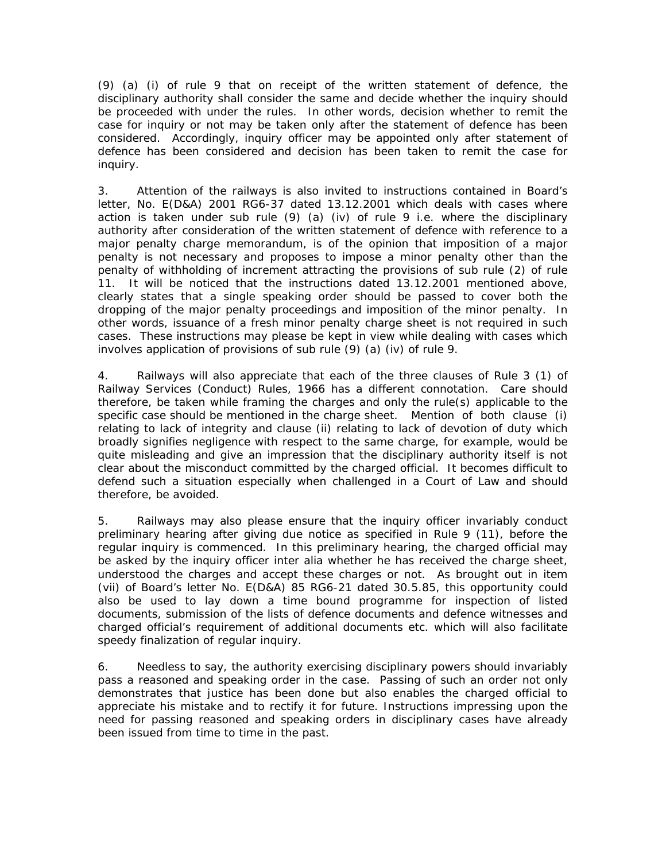(9) (a) (i) of rule 9 that on receipt of the written statement of defence, the disciplinary authority shall consider the same and decide whether the inquiry should be proceeded with under the rules. In other words, decision whether to remit the case for inquiry or not may be taken only after the statement of defence has been considered. Accordingly, inquiry officer may be appointed only after statement of defence has been considered and decision has been taken to remit the case for inquiry.

3. Attention of the railways is also invited to instructions contained in Board's letter, No. E(D&A) 2001 RG6-37 dated 13.12.2001 which deals with cases where action is taken under sub rule  $(9)$   $(a)$   $(iv)$  of rule 9 i.e. where the disciplinary authority after consideration of the written statement of defence with reference to a major penalty charge memorandum, is of the opinion that imposition of a major penalty is not necessary and proposes to impose a minor penalty other than the penalty of withholding of increment attracting the provisions of sub rule (2) of rule 11. It will be noticed that the instructions dated 13.12.2001 mentioned above, clearly states that a single speaking order should be passed to cover both the dropping of the major penalty proceedings and imposition of the minor penalty. In other words, issuance of a fresh minor penalty charge sheet is not required in such cases. These instructions may please be kept in view while dealing with cases which involves application of provisions of sub rule (9) (a) (iv) of rule 9.

4. Railways will also appreciate that each of the three clauses of Rule 3 (1) of Railway Services (Conduct) Rules, 1966 has a different connotation. Care should therefore, be taken while framing the charges and only the rule(s) applicable to the specific case should be mentioned in the charge sheet. Mention of both clause (i) relating to lack of integrity and clause (ii) relating to lack of devotion of duty which broadly signifies negligence with respect to the same charge, for example, would be quite misleading and give an impression that the disciplinary authority itself is not clear about the misconduct committed by the charged official. It becomes difficult to defend such a situation especially when challenged in a Court of Law and should therefore, be avoided.

5. Railways may also please ensure that the inquiry officer invariably conduct preliminary hearing after giving due notice as specified in Rule 9 (11), before the regular inquiry is commenced. In this preliminary hearing, the charged official may be asked by the inquiry officer inter alia whether he has received the charge sheet, understood the charges and accept these charges or not. As brought out in item (vii) of Board's letter No. E(D&A) 85 RG6-21 dated 30.5.85, this opportunity could also be used to lay down a time bound programme for inspection of listed documents, submission of the lists of defence documents and defence witnesses and charged official's requirement of additional documents etc. which will also facilitate speedy finalization of regular inquiry.

6. Needless to say, the authority exercising disciplinary powers should invariably pass a reasoned and speaking order in the case. Passing of such an order not only demonstrates that justice has been done but also enables the charged official to appreciate his mistake and to rectify it for future. Instructions impressing upon the need for passing reasoned and speaking orders in disciplinary cases have already been issued from time to time in the past.